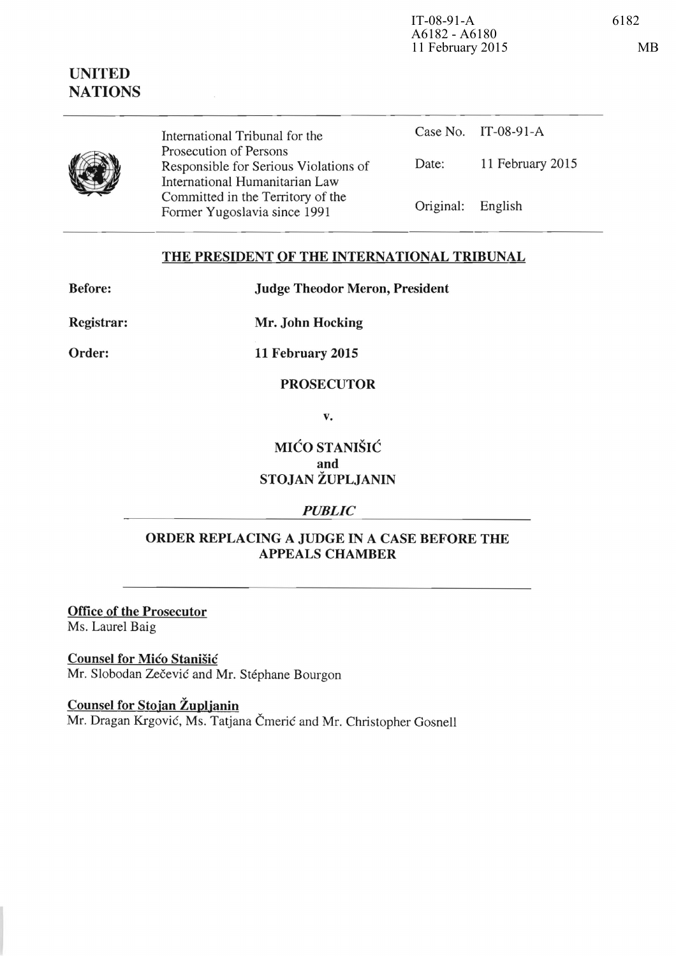$IT-08-91-A$ 

English

11 February 2015

| International Tribunal for the                                    | Case No.  |
|-------------------------------------------------------------------|-----------|
| Prosecution of Persons                                            |           |
| Responsible for Serious Violations of                             | Date:     |
| International Humanitarian Law                                    |           |
| Committed in the Territory of the<br>Former Yugoslavia since 1991 | Original: |
|                                                                   |           |

# THE PRESIDENT OF THE INTERNATIONAL TRIBUNAL

Before:

Judge Theodor Meron, President

Registrar:

Mr. John Hocking

Order:

11 February 2015

#### PROSECUTOR

v.

# MIĆO STANIŠIĆ and STOJAN ŽUPLJANIN

## *PUBLIC*

#### ORDER REPLACING A JUDGE IN A CASE BEFORE THE APPEALS CHAMBER

Office of the Prosecutor Ms. Laurel Baig

Counsel for Mico Stanisic Mr. Slobodan Zečević and Mr. Stéphane Bourgon

Counsel for Stojan Župljanin Mr. Dragan Krgović, Ms. Tatjana Čmerić and Mr. Christopher Gosnell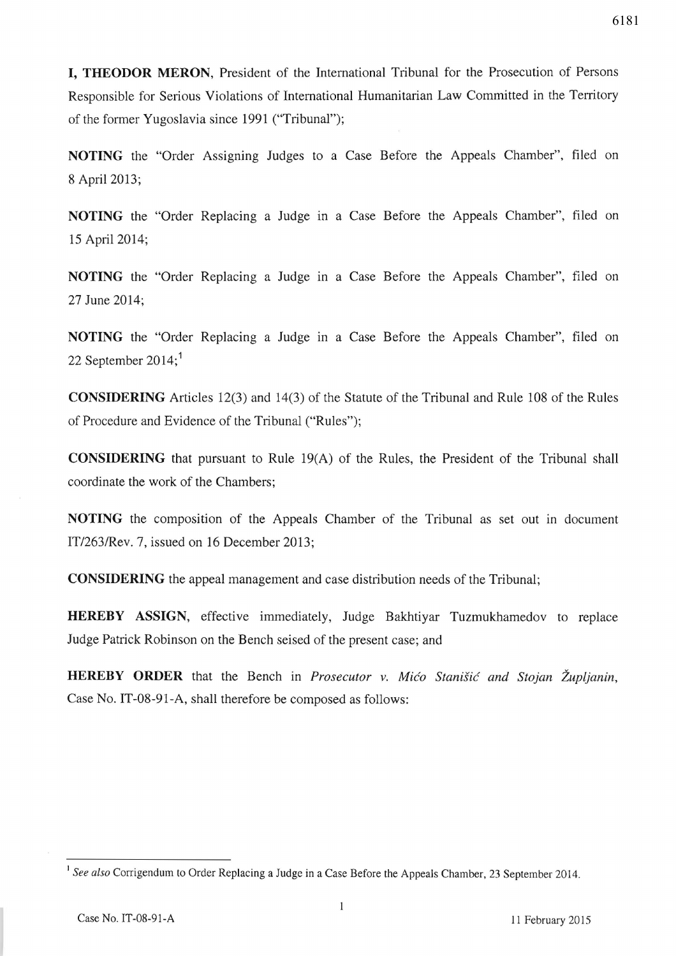**I, THEODOR MERON,** President of the International Tribunal for the Prosecution of Persons Responsible for Serious Violations of International Humanitarian Law Committed in the Territory of the former Yugoslavia since 1991 ("Tribunal");

**NOTING** the "Order Assigning Judges to a Case Before the Appeals Chamber", filed on 8 April 2013;

**NOTING** the "Order Replacing a Judge in a Case Before the Appeals Chamber", filed on 15 April 2014;

**NOTING** the "Order Replacing a Judge in a Case Before the Appeals Chamber", filed on 27 June 2014;

**NOTING** the "Order Replacing a Judge in a Case Before the Appeals Chamber", filed on 22 September 2014;<sup>1</sup>

**CONSIDERING** Articles 12(3) and 14(3) of the Statute of the Tribunal and Rule 108 of the Rules of Procedure and Evidence of the Tribunal ("Rules");

**CONSIDERING** that pursuant to Rule 19(A) of the Rules, the President of the Tribunal shall coordinate the work of the Chambers;

**NOTING** the composition of the Appeals Chamber of the Tribunal as set out in document IT/263/Rev. 7, issued on 16 December 2013;

**CONSIDERING** the appeal management and case distribution needs of the Tribunal;

**HEREBY ASSIGN,** effective immediately, Judge Bakhtiyar Tuzmukhamedov to replace Judge Patrick Robinson on the Bench seised of the present case; and

**HEREBY ORDER** that the Bench in *Prosecutor* v. *Mico Stanisic and Stojan Zupljanin,*  Case No. IT-08-91-A, shall therefore be composed as follows:

<sup>&</sup>lt;sup>1</sup> See also Corrigendum to Order Replacing a Judge in a Case Before the Appeals Chamber, 23 September 2014.